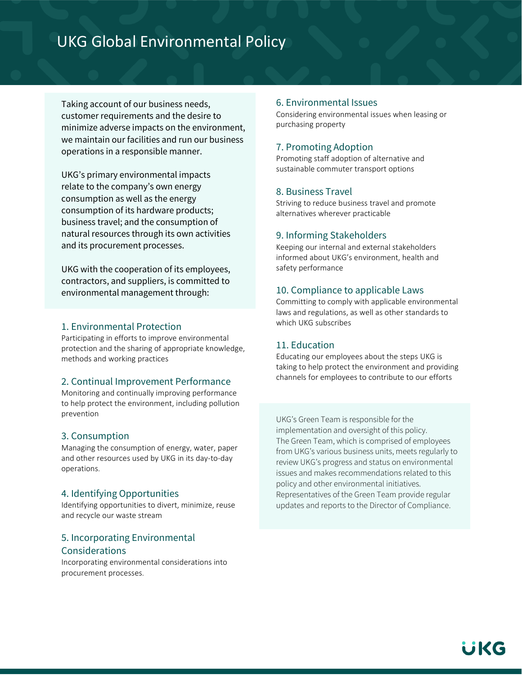# UKG Global Environmental Policy

Taking account of our business needs, customer requirements and the desire to minimize adverse impacts on the environment, we maintain our facilities and run our business operations in a responsible manner.

UKG's primary environmental impacts relate to the company's own energy consumption as well as the energy consumption of its hardware products; business travel; and the consumption of natural resources through its own activities and its procurement processes.

UKG with the cooperation of its employees, contractors, and suppliers, is committed to environmental management through:

### 1. Environmental Protection

Participating in efforts to improve environmental protection and the sharing of appropriate knowledge, methods and working practices

### 2. Continual Improvement Performance

Monitoring and continually improving performance to help protect the environment, including pollution prevention

### 3. Consumption

Managing the consumption of energy, water, paper and other resources used by UKG in its day-to-day operations.

### 4. Identifying Opportunities

Identifying opportunities to divert, minimize, reuse and recycle our waste stream

# 5. Incorporating Environmental Considerations

Incorporating environmental considerations into procurement processes.

### 6. Environmental Issues

Considering environmental issues when leasing or purchasing property

### 7. Promoting Adoption

Promoting staff adoption of alternative and sustainable commuter transport options

### 8. Business Travel

Striving to reduce business travel and promote alternatives wherever practicable

#### 9. Informing Stakeholders

Keeping our internal and external stakeholders informed about UKG's environment, health and safety performance

### 10. Compliance to applicable Laws

Committing to comply with applicable environmental laws and regulations, as well as other standards to which UKG subscribes

### 11. Education

Educating our employees about the steps UKG is taking to help protect the environment and providing channels for employees to contribute to our efforts

UKG's Green Team is responsible for the implementation and oversight of this policy. The Green Team, which is comprised of employees from UKG's various business units, meets regularly to review UKG's progress and status on environmental issues and makes recommendations related to this policy and other environmental initiatives. Representatives of the Green Team provide regular updates and reports to the Director of Compliance.